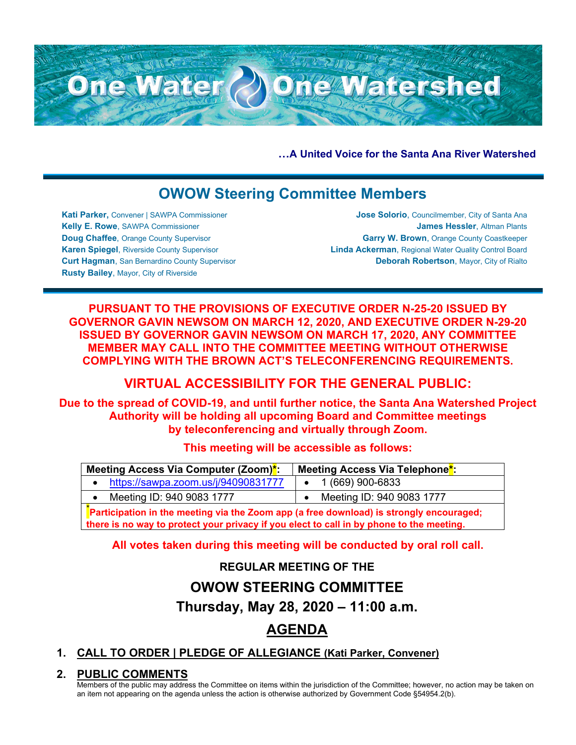**…A United Voice for the Santa Ana River Watershed**

# **OWOW Steering Committee Members**

One Water (2) One Watershed

**Kati Parker,** Convener | SAWPA Commissioner **Kelly E. Rowe**, SAWPA Commissioner **Doug Chaffee**, Orange County Supervisor **Karen Spiegel**, Riverside County Supervisor **Curt Hagman**, San Bernardino County Supervisor **Rusty Bailey**, Mayor, City of Riverside

**Jose Solorio**, Councilmember, City of Santa Ana **James Hessler**, Altman Plants **Garry W. Brown**, Orange County Coastkeeper **Linda Ackerman**, Regional Water Quality Control Board **Deborah Robertson**, Mayor, City of Rialto

**PURSUANT TO THE PROVISIONS OF EXECUTIVE ORDER N-25-20 ISSUED BY GOVERNOR GAVIN NEWSOM ON MARCH 12, 2020, AND EXECUTIVE ORDER N-29-20 ISSUED BY GOVERNOR GAVIN NEWSOM ON MARCH 17, 2020, ANY COMMITTEE MEMBER MAY CALL INTO THE COMMITTEE MEETING WITHOUT OTHERWISE COMPLYING WITH THE BROWN ACT'S TELECONFERENCING REQUIREMENTS.**

# **VIRTUAL ACCESSIBILITY FOR THE GENERAL PUBLIC:**

**Due to the spread of COVID-19, and until further notice, the Santa Ana Watershed Project Authority will be holding all upcoming Board and Committee meetings by teleconferencing and virtually through Zoom.**

## **This meeting will be accessible as follows:**

| Meeting Access Via Computer (Zoom) <sup>*</sup> :                                       | Meeting Access Via Telephone <sup>*</sup> : |
|-----------------------------------------------------------------------------------------|---------------------------------------------|
| https://sawpa.zoom.us/j/94090831777                                                     | 1 (669) 900-6833                            |
| Meeting ID: 940 9083 1777                                                               | Meeting ID: 940 9083 1777                   |
| Participation in the meeting via the Zoom app (a free download) is strongly encouraged; |                                             |

**there is no way to protect your privacy if you elect to call in by phone to the meeting.**

**All votes taken during this meeting will be conducted by oral roll call.**

**REGULAR MEETING OF THE**

# **OWOW STEERING COMMITTEE**

**Thursday, May 28, 2020 – 11:00 a.m.**

# **AGENDA**

# **1. CALL TO ORDER | PLEDGE OF ALLEGIANCE (Kati Parker, Convener)**

# **2. PUBLIC COMMENTS**

Members of the public may address the Committee on items within the jurisdiction of the Committee; however, no action may be taken on an item not appearing on the agenda unless the action is otherwise authorized by Government Code §54954.2(b).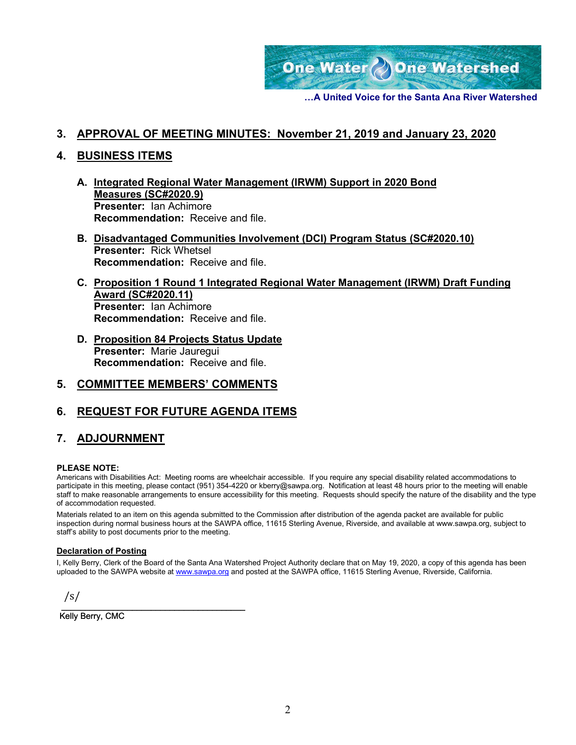

**…A United Voice for the Santa Ana River Watershed**

### **3. APPROVAL OF MEETING MINUTES: November 21, 2019 and January 23, 2020**

### **4. BUSINESS ITEMS**

- **A. Integrated Regional Water Management (IRWM) Support in 2020 Bond Measures (SC#2020.9) Presenter:** Ian Achimore **Recommendation:** Receive and file.
- **B. Disadvantaged Communities Involvement (DCI) Program Status (SC#2020.10) Presenter:** Rick Whetsel **Recommendation:** Receive and file.
- **C. Proposition 1 Round 1 Integrated Regional Water Management (IRWM) Draft Funding Award (SC#2020.11) Presenter:** Ian Achimore **Recommendation:** Receive and file.
- **D. Proposition 84 Projects Status Update Presenter:** Marie Jauregui **Recommendation:** Receive and file.

## **5. COMMITTEE MEMBERS' COMMENTS**

## **6. REQUEST FOR FUTURE AGENDA ITEMS**

## **7. ADJOURNMENT**

#### **PLEASE NOTE:**

Americans with Disabilities Act: Meeting rooms are wheelchair accessible. If you require any special disability related accommodations to participate in this meeting, please contact (951) 354-4220 or kberry@sawpa.org. Notification at least 48 hours prior to the meeting will enable staff to make reasonable arrangements to ensure accessibility for this meeting. Requests should specify the nature of the disability and the type of accommodation requested.

Materials related to an item on this agenda submitted to the Commission after distribution of the agenda packet are available for public inspection during normal business hours at the SAWPA office, 11615 Sterling Avenue, Riverside, and available at www.sawpa.org, subject to staff's ability to post documents prior to the meeting.

#### **Declaration of Posting**

I, Kelly Berry, Clerk of the Board of the Santa Ana Watershed Project Authority declare that on May 19, 2020, a copy of this agenda has been uploaded to the SAWPA website at [www.sawpa.org](http://www.sawpa.org/) and posted at the SAWPA office, 11615 Sterling Avenue, Riverside, California.

/s/

 $\mathcal{L}_\text{max}$  and  $\mathcal{L}_\text{max}$  and  $\mathcal{L}_\text{max}$  and  $\mathcal{L}_\text{max}$ Kelly Berry, CMC